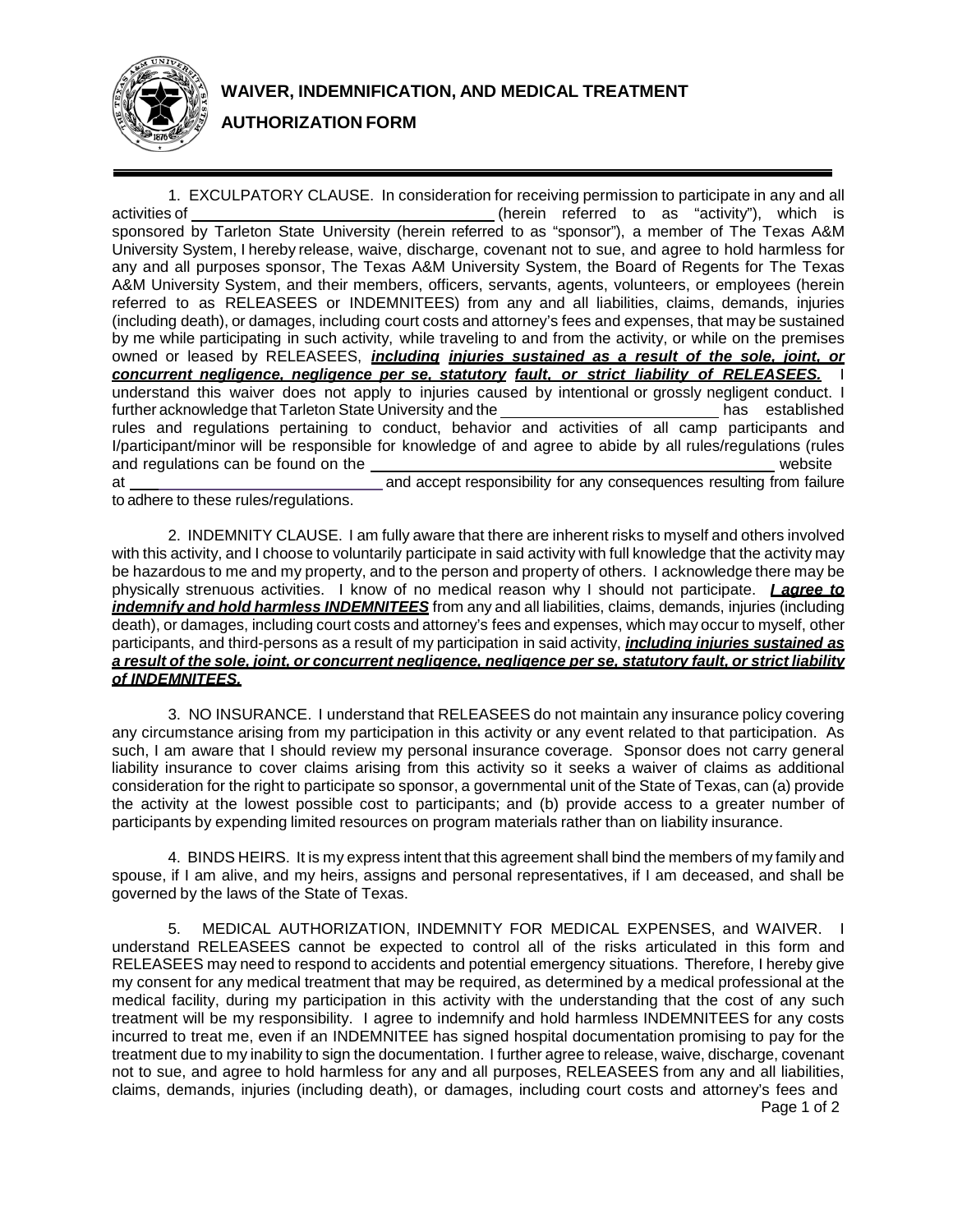

**AUTHORIZATION FORM**

1. EXCULPATORY CLAUSE. In consideration for receiving permission to participate in any and all activities of \_\_\_\_\_\_\_\_\_\_\_\_\_\_\_\_\_\_\_\_\_\_\_\_\_\_\_\_\_\_\_\_\_\_(herein referred to as "activity"), which is sponsored by Tarleton State University (herein referred to as "sponsor"), a member of The Texas A&M University System, I hereby release, waive, discharge, covenant not to sue, and agree to hold harmless for any and all purposes sponsor, The Texas A&M University System, the Board of Regents for The Texas A&M University System, and their members, officers, servants, agents, volunteers, or employees (herein referred to as RELEASEES or INDEMNITEES) from any and all liabilities, claims, demands, injuries (including death), or damages, including court costs and attorney's fees and expenses, that may be sustained by me while participating in such activity, while traveling to and from the activity, or while on the premises owned or leased by RELEASEES, *including injuries sustained as a result of the sole, joint, or concurrent negligence, negligence per se, statutory fault, or strict liability of RELEASEES.* I understand this waiver does not apply to injuries caused by intentional or grossly negligent conduct. I further acknowledge that Tarleton State University and the has established has established rules and regulations pertaining to conduct, behavior and activities of all camp participants and I/participant/minor will be responsible for knowledge of and agree to abide by all rules/regulations (rules and regulations can be found on the website website website at [a](http://www.tarleton.edu/~sumcam))nd accept responsibility for any consequences resulting from failure

to adhere to these rules/regulations.

2. INDEMNITY CLAUSE. I am fully aware that there are inherent risks to myself and others involved with this activity, and I choose to voluntarily participate in said activity with full knowledge that the activity may be hazardous to me and my property, and to the person and property of others. I acknowledge there may be physically strenuous activities. I know of no medical reason why I should not participate. *I agree to indemnify and hold harmless INDEMNITEES* from any and all liabilities, claims, demands, injuries (including death), or damages, including court costs and attorney's fees and expenses, which may occur to myself, other participants, and third-persons as a result of my participation in said activity, *including injuries sustained as* a result of the sole, joint, or concurrent negligence, negligence per se, statutory fault, or strict liability *of INDEMNITEES.*

3. NO INSURANCE. I understand that RELEASEES do not maintain any insurance policy covering any circumstance arising from my participation in this activity or any event related to that participation. As such, I am aware that I should review my personal insurance coverage. Sponsor does not carry general liability insurance to cover claims arising from this activity so it seeks a waiver of claims as additional consideration for the right to participate so sponsor, a governmental unit of the State of Texas, can (a) provide the activity at the lowest possible cost to participants; and (b) provide access to a greater number of participants by expending limited resources on program materials rather than on liability insurance.

4. BINDS HEIRS. It is my express intent that this agreement shall bind the members of my family and spouse, if I am alive, and my heirs, assigns and personal representatives, if I am deceased, and shall be governed by the laws of the State of Texas.

Page 1 of 2 5. MEDICAL AUTHORIZATION, INDEMNITY FOR MEDICAL EXPENSES, and WAIVER. I understand RELEASEES cannot be expected to control all of the risks articulated in this form and RELEASEES may need to respond to accidents and potential emergency situations. Therefore, I hereby give my consent for any medical treatment that may be required, as determined by a medical professional at the medical facility, during my participation in this activity with the understanding that the cost of any such treatment will be my responsibility. I agree to indemnify and hold harmless INDEMNITEES for any costs incurred to treat me, even if an INDEMNITEE has signed hospital documentation promising to pay for the treatment due to my inability to sign the documentation. I further agree to release, waive, discharge, covenant not to sue, and agree to hold harmless for any and all purposes, RELEASEES from any and all liabilities, claims, demands, injuries (including death), or damages, including court costs and attorney's fees and